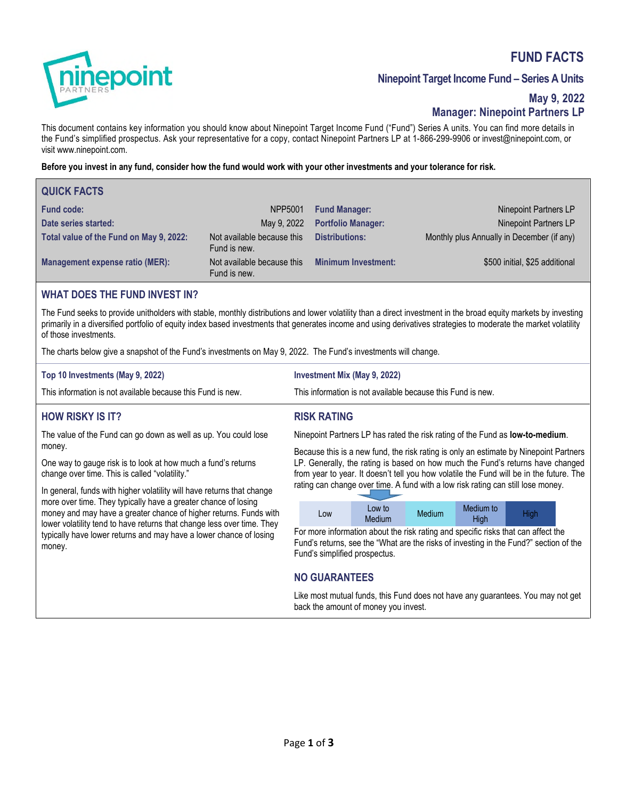# **FUND FACTS**



# **Ninepoint Target Income Fund – Series A Units**

# **May 9, 2022 Manager: Ninepoint Partners LP**

This document contains key information you should know about Ninepoint Target Income Fund ("Fund") Series A units. You can find more details in the Fund's simplified prospectus. Ask your representative for a copy, contact Ninepoint Partners LP at 1-866-299-9906 or invest@ninepoint.com, or visit www.ninepoint.com.

### **Before you invest in any fund, consider how the fund would work with your other investments and your tolerance for risk.**

| <b>QUICK FACTS</b>                      |                                            |                            |                                            |
|-----------------------------------------|--------------------------------------------|----------------------------|--------------------------------------------|
| <b>Fund code:</b>                       | NPP5001                                    | <b>Fund Manager:</b>       | Ninepoint Partners LP                      |
| Date series started:                    | May 9, 2022                                | <b>Portfolio Manager:</b>  | Ninepoint Partners LP                      |
| Total value of the Fund on May 9, 2022: | Not available because this<br>Fund is new. | <b>Distributions:</b>      | Monthly plus Annually in December (if any) |
| Management expense ratio (MER):         | Not available because this<br>Fund is new. | <b>Minimum Investment:</b> | \$500 initial, \$25 additional             |

### **WHAT DOES THE FUND INVEST IN?**

The Fund seeks to provide unitholders with stable, monthly distributions and lower volatility than a direct investment in the broad equity markets by investing primarily in a diversified portfolio of equity index based investments that generates income and using derivatives strategies to moderate the market volatility of those investments.

**RISK RATING** 

The charts below give a snapshot of the Fund's investments on May 9, 2022. The Fund's investments will change.

| Top 10 Investments (May 9, 2022)                            | Investment Mix (May 9, 2022)                                |
|-------------------------------------------------------------|-------------------------------------------------------------|
| This information is not available because this Fund is new. | This information is not available because this Fund is new. |

# **HOW RISKY IS IT?**

The value of the Fund can go down as well as up. You could lose money.

One way to gauge risk is to look at how much a fund's returns change over time. This is called "volatility."

In general, funds with higher volatility will have returns that change more over time. They typically have a greater chance of losing money and may have a greater chance of higher returns. Funds with lower volatility tend to have returns that change less over time. They typically have lower returns and may have a lower chance of losing money.

Ninepoint Partners LP has rated the risk rating of the Fund as **low-to-medium**.

Because this is a new fund, the risk rating is only an estimate by Ninepoint Partners LP. Generally, the rating is based on how much the Fund's returns have changed from year to year. It doesn't tell you how volatile the Fund will be in the future. The rating can change over time. A fund with a low risk rating can still lose money.

| Low | Low to | Medium | Medium to | <b>High</b> |
|-----|--------|--------|-----------|-------------|
|     | Medium |        | High      |             |

For more information about the risk rating and specific risks that can affect the Fund's returns, see the "What are the risks of investing in the Fund?" section of the Fund's simplified prospectus.

# **NO GUARANTEES**

Like most mutual funds, this Fund does not have any guarantees. You may not get back the amount of money you invest.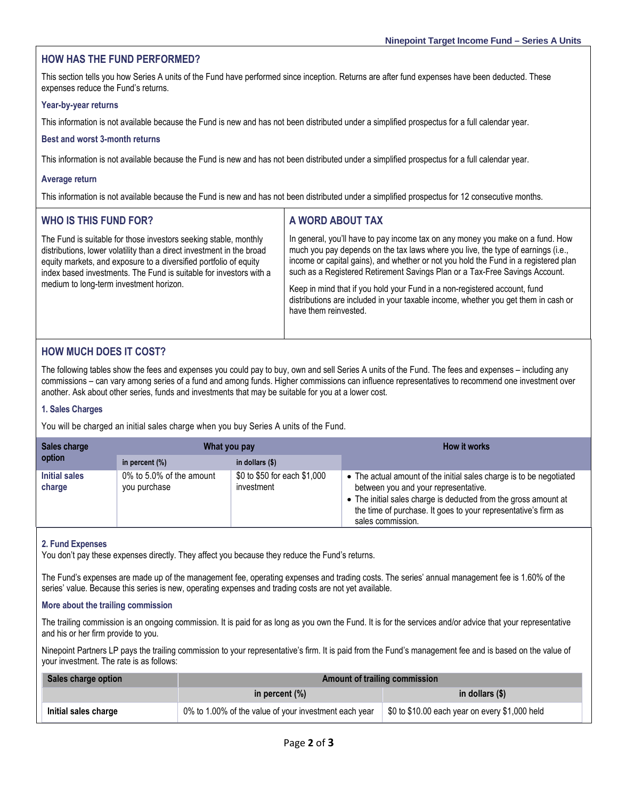# **HOW HAS THE FUND PERFORMED?**

This section tells you how Series A units of the Fund have performed since inception. Returns are after fund expenses have been deducted. These expenses reduce the Fund's returns.

#### **Year-by-year returns**

This information is not available because the Fund is new and has not been distributed under a simplified prospectus for a full calendar year.

#### **Best and worst 3-month returns**

This information is not available because the Fund is new and has not been distributed under a simplified prospectus for a full calendar year.

#### **Average return**

This information is not available because the Fund is new and has not been distributed under a simplified prospectus for 12 consecutive months.

| <b>WHO IS THIS FUND FOR?</b>                                                                                                                                                                                                                                                                                                    | A WORD ABOUT TAX                                                                                                                                                                                                                                                                                                                                                                                                                                                                                                                     |
|---------------------------------------------------------------------------------------------------------------------------------------------------------------------------------------------------------------------------------------------------------------------------------------------------------------------------------|--------------------------------------------------------------------------------------------------------------------------------------------------------------------------------------------------------------------------------------------------------------------------------------------------------------------------------------------------------------------------------------------------------------------------------------------------------------------------------------------------------------------------------------|
| The Fund is suitable for those investors seeking stable, monthly<br>distributions, lower volatility than a direct investment in the broad<br>equity markets, and exposure to a diversified portfolio of equity<br>index based investments. The Fund is suitable for investors with a<br>medium to long-term investment horizon. | In general, you'll have to pay income tax on any money you make on a fund. How<br>much you pay depends on the tax laws where you live, the type of earnings (i.e.,<br>income or capital gains), and whether or not you hold the Fund in a registered plan<br>such as a Registered Retirement Savings Plan or a Tax-Free Savings Account.<br>Keep in mind that if you hold your Fund in a non-registered account, fund<br>distributions are included in your taxable income, whether you get them in cash or<br>have them reinvested. |

# **HOW MUCH DOES IT COST?**

The following tables show the fees and expenses you could pay to buy, own and sell Series A units of the Fund. The fees and expenses – including any commissions – can vary among series of a fund and among funds. Higher commissions can influence representatives to recommend one investment over another. Ask about other series, funds and investments that may be suitable for you at a lower cost.

#### **1. Sales Charges**

You will be charged an initial sales charge when you buy Series A units of the Fund.

| Sales charge<br>option  | What you pay                             |                                            | <b>How it works</b>                                                                                                                                                                                                                                                   |
|-------------------------|------------------------------------------|--------------------------------------------|-----------------------------------------------------------------------------------------------------------------------------------------------------------------------------------------------------------------------------------------------------------------------|
|                         | in percent $(\%)$                        | in dollars $(\$)$                          |                                                                                                                                                                                                                                                                       |
| Initial sales<br>charge | 0% to 5.0% of the amount<br>you purchase | \$0 to \$50 for each \$1,000<br>investment | • The actual amount of the initial sales charge is to be negotiated<br>between you and your representative.<br>• The initial sales charge is deducted from the gross amount at<br>the time of purchase. It goes to your representative's firm as<br>sales commission. |

#### **2. Fund Expenses**

You don't pay these expenses directly. They affect you because they reduce the Fund's returns.

The Fund's expenses are made up of the management fee, operating expenses and trading costs. The series' annual management fee is 1.60% of the series' value. Because this series is new, operating expenses and trading costs are not yet available.

# **More about the trailing commission**

The trailing commission is an ongoing commission. It is paid for as long as you own the Fund. It is for the services and/or advice that your representative and his or her firm provide to you.

Ninepoint Partners LP pays the trailing commission to your representative's firm. It is paid from the Fund's management fee and is based on the value of your investment. The rate is as follows:

| Sales charge option  | <b>Amount of trailing commission</b>                  |                                                |  |
|----------------------|-------------------------------------------------------|------------------------------------------------|--|
|                      | in percent $(\%)$                                     | in dollars (\$)                                |  |
| Initial sales charge | 0% to 1.00% of the value of your investment each year | \$0 to \$10.00 each year on every \$1,000 held |  |